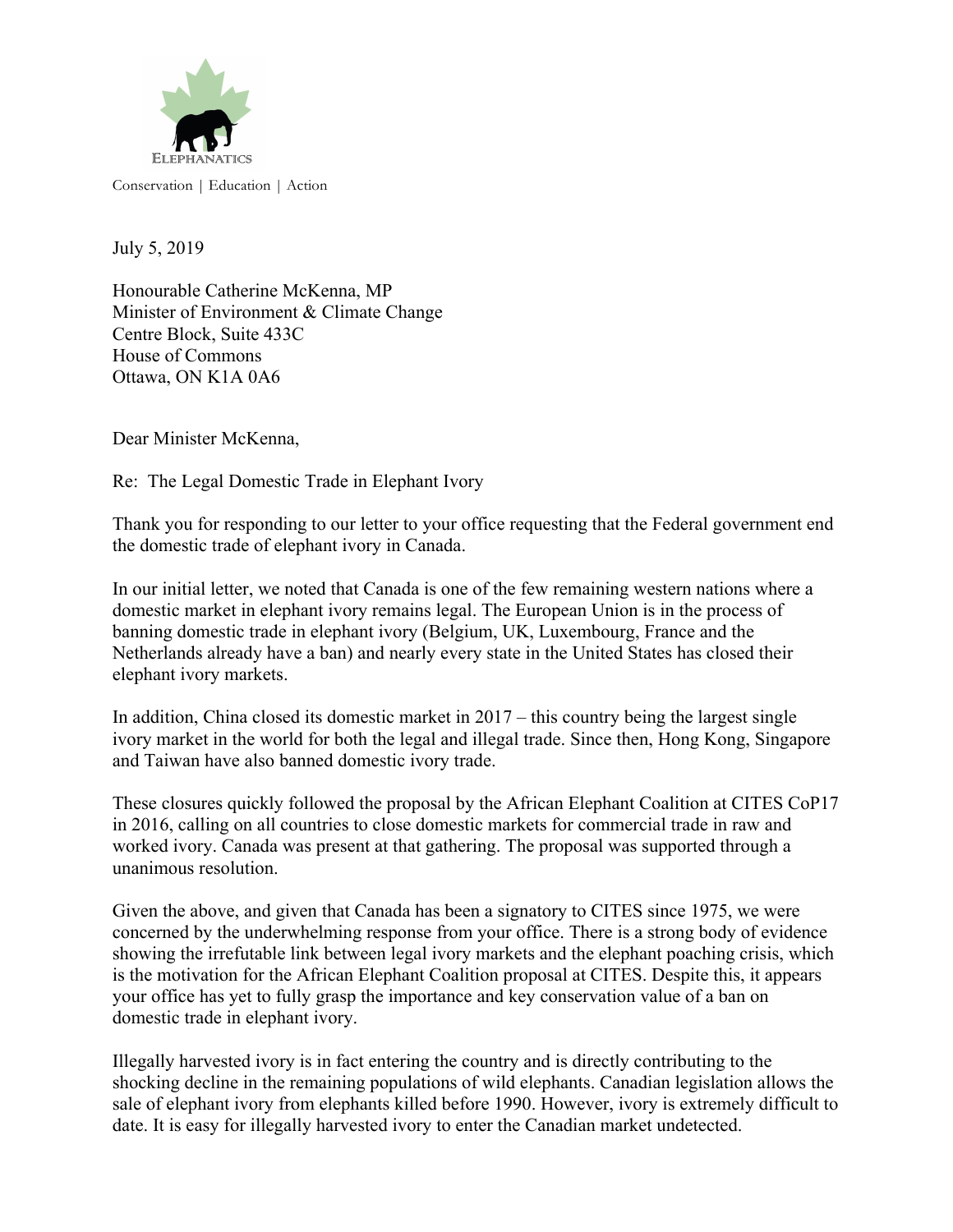

Conservation | Education | Action

July 5, 2019

Honourable Catherine McKenna, MP Minister of Environment & Climate Change Centre Block, Suite 433C House of Commons Ottawa, ON K1A 0A6

Dear Minister McKenna,

Re: The Legal Domestic Trade in Elephant Ivory

Thank you for responding to our letter to your office requesting that the Federal government end the domestic trade of elephant ivory in Canada.

In our initial letter, we noted that Canada is one of the few remaining western nations where a domestic market in elephant ivory remains legal. The European Union is in the process of banning domestic trade in elephant ivory (Belgium, UK, Luxembourg, France and the Netherlands already have a ban) and nearly every state in the United States has closed their elephant ivory markets.

In addition, China closed its domestic market in  $2017 -$  this country being the largest single ivory market in the world for both the legal and illegal trade. Since then, Hong Kong, Singapore and Taiwan have also banned domestic ivory trade.

These closures quickly followed the proposal by the African Elephant Coalition at CITES CoP17 in 2016, calling on all countries to close domestic markets for commercial trade in raw and worked ivory. Canada was present at that gathering. The proposal was supported through a unanimous resolution.

Given the above, and given that Canada has been a signatory to CITES since 1975, we were concerned by the underwhelming response from your office. There is a strong body of evidence showing the irrefutable link between legal ivory markets and the elephant poaching crisis, which is the motivation for the African Elephant Coalition proposal at CITES. Despite this, it appears your office has yet to fully grasp the importance and key conservation value of a ban on domestic trade in elephant ivory.

Illegally harvested ivory is in fact entering the country and is directly contributing to the shocking decline in the remaining populations of wild elephants. Canadian legislation allows the sale of elephant ivory from elephants killed before 1990. However, ivory is extremely difficult to date. It is easy for illegally harvested ivory to enter the Canadian market undetected.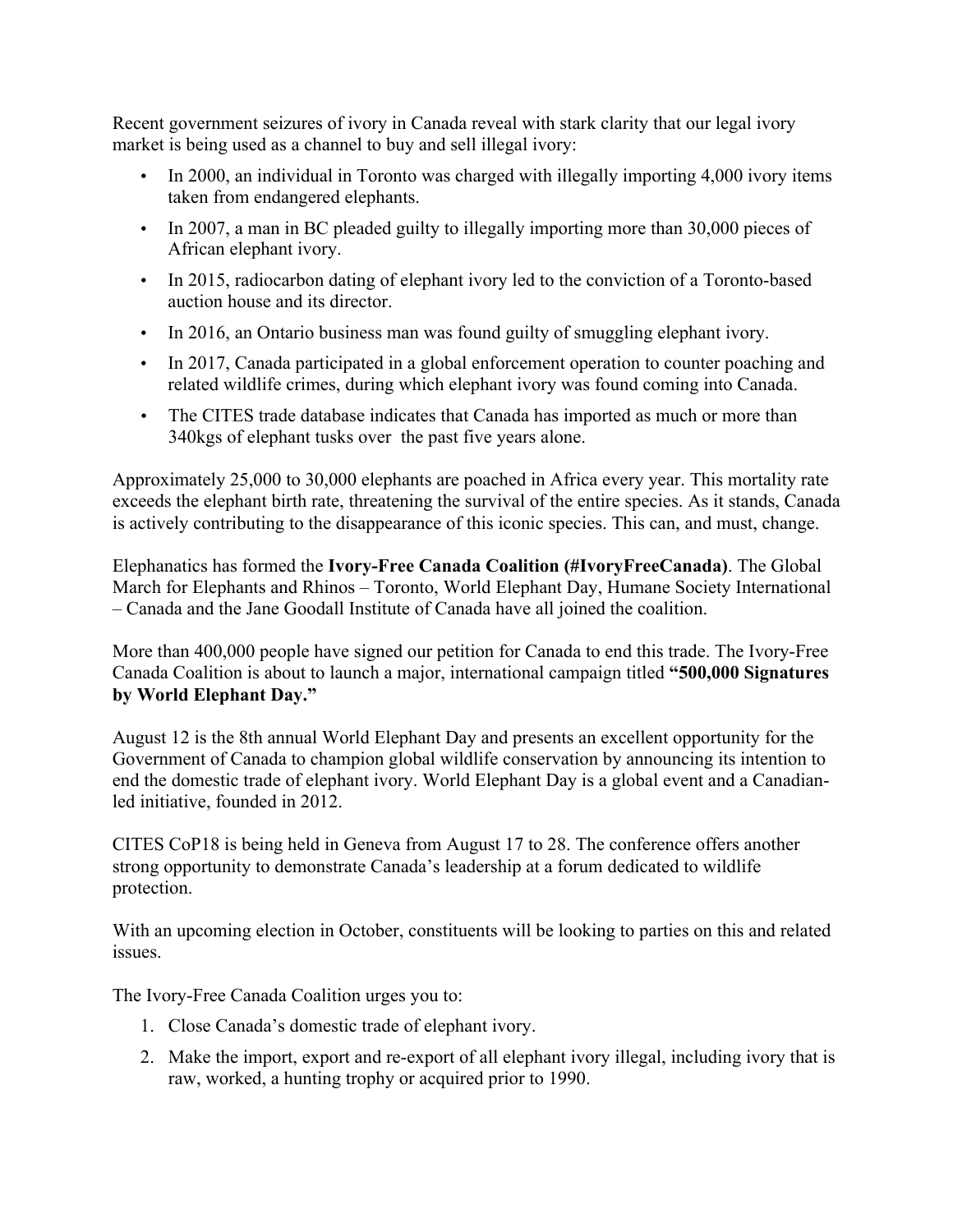Recent government seizures of ivory in Canada reveal with stark clarity that our legal ivory market is being used as a channel to buy and sell illegal ivory:

- In 2000, an individual in Toronto was charged with illegally importing 4,000 ivory items taken from endangered elephants.
- In 2007, a man in BC pleaded guilty to illegally importing more than 30,000 pieces of African elephant ivory.
- In 2015, radiocarbon dating of elephant ivory led to the conviction of a Toronto-based auction house and its director.
- In 2016, an Ontario business man was found guilty of smuggling elephant ivory.
- In 2017, Canada participated in a global enforcement operation to counter poaching and related wildlife crimes, during which elephant ivory was found coming into Canada.
- The CITES trade database indicates that Canada has imported as much or more than 340kgs of elephant tusks over the past five years alone.

Approximately 25,000 to 30,000 elephants are poached in Africa every year. This mortality rate exceeds the elephant birth rate, threatening the survival of the entire species. As it stands, Canada is actively contributing to the disappearance of this iconic species. This can, and must, change.

Elephanatics has formed the **Ivory-Free Canada Coalition (#IvoryFreeCanada)**. The Global March for Elephants and Rhinos – Toronto, World Elephant Day, Humane Society International – Canada and the Jane Goodall Institute of Canada have all joined the coalition.

More than 400,000 people have signed our petition for Canada to end this trade. The Ivory-Free Canada Coalition is about to launch a major, international campaign titled **"500,000 Signatures by World Elephant Day."**

August 12 is the 8th annual World Elephant Day and presents an excellent opportunity for the Government of Canada to champion global wildlife conservation by announcing its intention to end the domestic trade of elephant ivory. World Elephant Day is a global event and a Canadianled initiative, founded in 2012.

CITES CoP18 is being held in Geneva from August 17 to 28. The conference offers another strong opportunity to demonstrate Canada's leadership at a forum dedicated to wildlife protection.

With an upcoming election in October, constituents will be looking to parties on this and related issues.

The Ivory-Free Canada Coalition urges you to:

- 1. Close Canada's domestic trade of elephant ivory.
- 2. Make the import, export and re-export of all elephant ivory illegal, including ivory that is raw, worked, a hunting trophy or acquired prior to 1990.